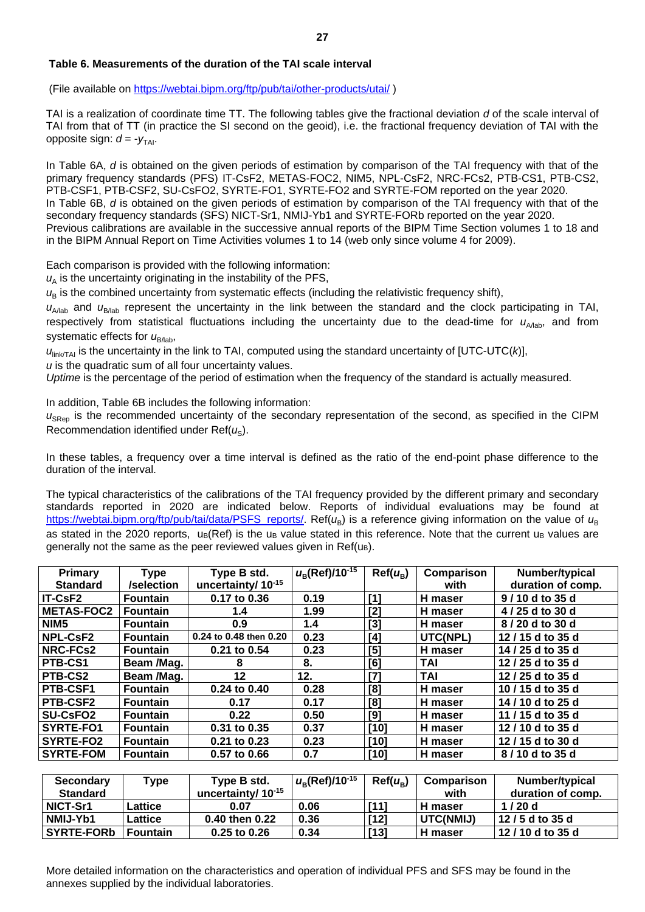### **Table 6. Measurements of the duration of the TAI scale interval**

(File available on<https://webtai.bipm.org/ftp/pub/tai/other-products/utai/> )

TAI is a realization of coordinate time TT. The following tables give the fractional deviation *d* of the scale interval of TAI from that of TT (in practice the SI second on the geoid), i.e. the fractional frequency deviation of TAI with the opposite sign:  $d = -v_{\text{TAI}}$ .

In Table 6A, *d* is obtained on the given periods of estimation by comparison of the TAI frequency with that of the primary frequency standards (PFS) IT-CsF2, METAS-FOC2, NIM5, NPL-CsF2, NRC-FCs2, PTB-CS1, PTB-CS2, PTB-CSF1, PTB-CSF2, SU-CsFO2, SYRTE-FO1, SYRTE-FO2 and SYRTE-FOM reported on the year 2020. In Table 6B, *d* is obtained on the given periods of estimation by comparison of the TAI frequency with that of the secondary frequency standards (SFS) NICT-Sr1, NMIJ-Yb1 and SYRTE-FORb reported on the year 2020. Previous calibrations are available in the successive annual reports of the BIPM Time Section volumes 1 to 18 and in the BIPM Annual Report on Time Activities volumes 1 to 14 (web only since volume 4 for 2009).

Each comparison is provided with the following information:

 $u<sub>A</sub>$  is the uncertainty originating in the instability of the PFS,

 $u_{\rm B}$  is the combined uncertainty from systematic effects (including the relativistic frequency shift),

 $u_{A/1ab}$  and  $u_{B/1ab}$  represent the uncertainty in the link between the standard and the clock participating in TAI, respectively from statistical fluctuations including the uncertainty due to the dead-time for  $u<sub>A/lab</sub>$ , and from systematic effects for  $u_{\text{B/lab}}$ ,

 $u_{\text{linkTAI}}$  is the uncertainty in the link to TAI, computed using the standard uncertainty of [UTC-UTC( $k$ )],

*u* is the quadratic sum of all four uncertainty values.

*Uptime* is the percentage of the period of estimation when the frequency of the standard is actually measured.

In addition, Table 6B includes the following information:

 $u<sub>SRep</sub>$  is the recommended uncertainty of the secondary representation of the second, as specified in the CIPM Recommendation identified under Ref(u<sub>s</sub>).

In these tables, a frequency over a time interval is defined as the ratio of the end-point phase difference to the duration of the interval.

The typical characteristics of the calibrations of the TAI frequency provided by the different primary and secondary standards reported in 2020 are indicated below. Reports of individual evaluations may be found at [https://webtai.bipm.org/ftp/pub/tai/data/PSFS\\_reports/.](https://webtai.bipm.org/ftp/pub/tai/data/PSFS_reports/) Ref(*u*<sub>B</sub>) is a reference giving information on the value of *u*<sub>B</sub> as stated in the 2020 reports,  $u_B(Ref)$  is the u<sub>B</sub> value stated in this reference. Note that the current u<sub>B</sub> values are generally not the same as the peer reviewed values given in  $Ref(u)$ .

| Primary<br><b>Standard</b> | <b>Type</b><br>/selection | Type B std.<br>uncertainty/ 10 <sup>-15</sup> | $u_{\rm B}$ (Ref)/10 <sup>-15</sup> | $Ref(u_B)$ | Comparison<br>with | Number/typical<br>duration of comp. |
|----------------------------|---------------------------|-----------------------------------------------|-------------------------------------|------------|--------------------|-------------------------------------|
| IT-CsF2                    | <b>Fountain</b>           | 0.17 to 0.36                                  | 0.19                                | [1]        | H maser            | 9/10 d to 35 d                      |
| <b>METAS-FOC2</b>          | <b>Fountain</b>           | 1.4                                           | 1.99                                | $[2]$      | H maser            | 4/25 d to 30 d                      |
| NIM <sub>5</sub>           | <b>Fountain</b>           | 0.9                                           | 1.4                                 | $[3]$      | H maser            | 8/20 d to 30 d                      |
| <b>NPL-CsF2</b>            | <b>Fountain</b>           | 0.24 to 0.48 then 0.20                        | 0.23                                | [4]        | UTC(NPL)           | 12/15 d to 35 d                     |
| NRC-FCs2                   | <b>Fountain</b>           | 0.21 to 0.54                                  | 0.23                                | [5]        | H maser            | 14 / 25 d to 35 d                   |
| PTB-CS1                    | Beam /Mag.                | 8                                             | 8.                                  | [6]        | <b>TAI</b>         | 12 / 25 d to 35 d                   |
| PTB-CS2                    | Beam /Mag.                | $12 \,$                                       | 12.                                 | [7]        | <b>TAI</b>         | 12 / 25 d to 35 d                   |
| PTB-CSF1                   | <b>Fountain</b>           | 0.24 to 0.40                                  | 0.28                                | [8]        | H maser            | 10/15 d to 35 d                     |
| PTB-CSF2                   | <b>Fountain</b>           | 0.17                                          | 0.17                                | [8]        | H maser            | 14 / 10 d to 25 d                   |
| SU-CsFO <sub>2</sub>       | <b>Fountain</b>           | 0.22                                          | 0.50                                | [9]        | H maser            | 11 / 15 d to 35 d                   |
| SYRTE-FO1                  | <b>Fountain</b>           | 0.31 to 0.35                                  | 0.37                                | [10]       | H maser            | 12 / 10 d to 35 d                   |
| SYRTE-FO2                  | <b>Fountain</b>           | 0.21 to 0.23                                  | 0.23                                | $[10]$     | H maser            | 12 / 15 d to 30 d                   |
| <b>SYRTE-FOM</b>           | <b>Fountain</b>           | 0.57 to 0.66                                  | 0.7                                 | [10]       | H maser            | 8/10 d to 35 d                      |

| <b>Secondary</b> | Type            | Type B std.                    | $u_{\rm B}$ (Ref)/10 <sup>-15</sup> | $Ref(u_{R})$ | Comparison       | Number/typical    |
|------------------|-----------------|--------------------------------|-------------------------------------|--------------|------------------|-------------------|
| <b>Standard</b>  |                 | uncertainty/ 10 <sup>-15</sup> |                                     |              | with             | duration of comp. |
| NICT-Sr1         | Lattice         | 0.07                           | 0.06                                | [11]         | H maser          | 1/20d             |
| NMIJ-Yb1         | Lattice         | 0.40 then 0.22                 | 0.36                                | $[12]$       | <b>UTC(NMIJ)</b> | 12/5 d to 35 d    |
| SYRTE-FORb       | <b>Fountain</b> | $0.25$ to $0.26$               | 0.34                                | $[13]$       | H maser          | 12/10 d to 35 d   |

More detailed information on the characteristics and operation of individual PFS and SFS may be found in the annexes supplied by the individual laboratories.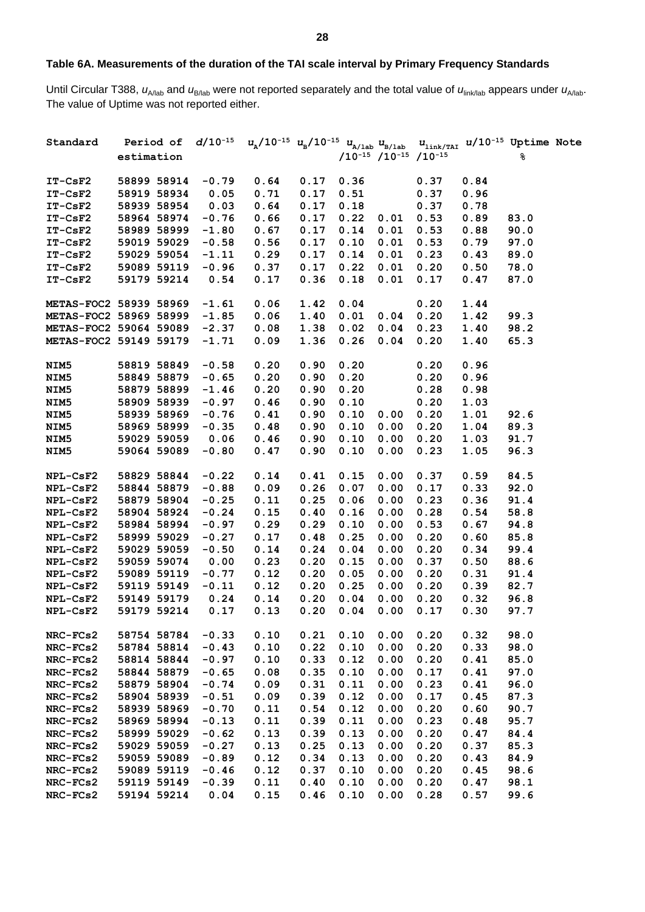# **Table 6A. Measurements of the duration of the TAI scale interval by Primary Frequency Standards**

Until Circular T388,  $u_{A/lab}$  and  $u_{B/lab}$  were not reported separately and the total value of  $u_{\text{link/lab}}$  appears under  $u_{A/lab}$ . The value of Uptime was not reported either.

| Standard               |             |             |         | Period of $d/10^{-15}$ $u_{_\mathrm{A}}/10^{-15}$ $u_{_\mathrm{B}}/10^{-15}$ $u_{_\mathrm{A/1ab}}$ $u_{_\mathrm{B/1ab}}$ $u_{_\mathrm{link/TAI}}$ $u/10^{-15}$ Uptime Note |      |      |                                     |      |      |      |  |
|------------------------|-------------|-------------|---------|----------------------------------------------------------------------------------------------------------------------------------------------------------------------------|------|------|-------------------------------------|------|------|------|--|
|                        | estimation  |             |         |                                                                                                                                                                            |      |      | $/10^{-15}$ $/10^{-15}$ $/10^{-15}$ |      |      | ୫    |  |
|                        |             |             |         |                                                                                                                                                                            |      |      |                                     |      |      |      |  |
| $IT-CSF2$              |             | 58899 58914 | $-0.79$ | 0.64                                                                                                                                                                       | 0.17 | 0.36 |                                     | 0.37 | 0.84 |      |  |
| $IT-CSF2$              | 58919 58934 |             | 0.05    | 0.71                                                                                                                                                                       | 0.17 | 0.51 |                                     | 0.37 | 0.96 |      |  |
| $IT-CSF2$              | 58939 58954 |             | 0.03    | 0.64                                                                                                                                                                       | 0.17 | 0.18 |                                     | 0.37 | 0.78 |      |  |
| $IT-CSF2$              | 58964 58974 |             | $-0.76$ | 0.66                                                                                                                                                                       | 0.17 | 0.22 | 0.01                                | 0.53 | 0.89 | 83.0 |  |
| $IT-CSF2$              | 58989 58999 |             | $-1.80$ | 0.67                                                                                                                                                                       | 0.17 | 0.14 | 0.01                                | 0.53 | 0.88 | 90.0 |  |
| $IT-CSF2$              | 59019 59029 |             | $-0.58$ | 0.56                                                                                                                                                                       | 0.17 | 0.10 | 0.01                                | 0.53 | 0.79 | 97.0 |  |
| $IT-CSF2$              | 59029 59054 |             | $-1.11$ | 0.29                                                                                                                                                                       | 0.17 | 0.14 | 0.01                                | 0.23 | 0.43 | 89.0 |  |
| $IT-CSF2$              |             | 59089 59119 | $-0.96$ | 0.37                                                                                                                                                                       | 0.17 | 0.22 | 0.01                                | 0.20 | 0.50 | 78.0 |  |
| $IT-CSF2$              | 59179 59214 |             | 0.54    | 0.17                                                                                                                                                                       | 0.36 | 0.18 | 0.01                                | 0.17 | 0.47 | 87.0 |  |
|                        |             |             |         |                                                                                                                                                                            |      |      |                                     |      |      |      |  |
| METAS-FOC2 58939 58969 |             |             | $-1.61$ | 0.06                                                                                                                                                                       | 1.42 | 0.04 |                                     | 0.20 | 1.44 |      |  |
| METAS-FOC2 58969 58999 |             |             | $-1.85$ | 0.06                                                                                                                                                                       | 1.40 | 0.01 | 0.04                                | 0.20 | 1.42 | 99.3 |  |
| METAS-FOC2 59064 59089 |             |             | $-2.37$ | 0.08                                                                                                                                                                       | 1.38 | 0.02 | 0.04                                | 0.23 | 1.40 | 98.2 |  |
| METAS-FOC2 59149 59179 |             |             | $-1.71$ | 0.09                                                                                                                                                                       | 1.36 | 0.26 | 0.04                                | 0.20 | 1.40 | 65.3 |  |
| NIM <sub>5</sub>       |             | 58819 58849 | $-0.58$ | 0.20                                                                                                                                                                       | 0.90 | 0.20 |                                     | 0.20 | 0.96 |      |  |
| NIM5                   |             | 58849 58879 | $-0.65$ | 0.20                                                                                                                                                                       | 0.90 | 0.20 |                                     | 0.20 | 0.96 |      |  |
| NIM5                   |             | 58879 58899 | $-1.46$ | 0.20                                                                                                                                                                       | 0.90 | 0.20 |                                     | 0.28 | 0.98 |      |  |
| NIM5                   | 58909 58939 |             | $-0.97$ | 0.46                                                                                                                                                                       | 0.90 | 0.10 |                                     | 0.20 | 1.03 |      |  |
| NIM5                   | 58939 58969 |             | $-0.76$ | 0.41                                                                                                                                                                       | 0.90 | 0.10 | 0.00                                | 0.20 | 1.01 | 92.6 |  |
| NIM5                   | 58969 58999 |             | $-0.35$ | 0.48                                                                                                                                                                       | 0.90 | 0.10 | 0.00                                | 0.20 | 1.04 | 89.3 |  |
| NIM5                   | 59029 59059 |             | 0.06    | 0.46                                                                                                                                                                       | 0.90 | 0.10 | 0.00                                | 0.20 | 1.03 | 91.7 |  |
| NIM5                   | 59064 59089 |             | $-0.80$ | 0.47                                                                                                                                                                       | 0.90 | 0.10 | 0.00                                | 0.23 | 1.05 | 96.3 |  |
|                        |             |             |         |                                                                                                                                                                            |      |      |                                     |      |      |      |  |
| <b>NPL-CsF2</b>        | 58829 58844 |             | $-0.22$ | 0.14                                                                                                                                                                       | 0.41 | 0.15 | 0.00                                | 0.37 | 0.59 | 84.5 |  |
| <b>NPL-CsF2</b>        | 58844 58879 |             | $-0.88$ | 0.09                                                                                                                                                                       | 0.26 | 0.07 | 0.00                                | 0.17 | 0.33 | 92.0 |  |
| <b>NPL-CsF2</b>        | 58879 58904 |             | $-0.25$ | 0.11                                                                                                                                                                       | 0.25 | 0.06 | 0.00                                | 0.23 | 0.36 | 91.4 |  |
| <b>NPL-CsF2</b>        | 58904 58924 |             | $-0.24$ | 0.15                                                                                                                                                                       | 0.40 | 0.16 | 0.00                                | 0.28 | 0.54 | 58.8 |  |
| <b>NPL-CsF2</b>        | 58984 58994 |             | $-0.97$ | 0.29                                                                                                                                                                       | 0.29 | 0.10 | 0.00                                | 0.53 | 0.67 | 94.8 |  |
| <b>NPL-CsF2</b>        | 58999 59029 |             | $-0.27$ | 0.17                                                                                                                                                                       | 0.48 | 0.25 | 0.00                                | 0.20 | 0.60 | 85.8 |  |
| NPL-CsF2               | 59029 59059 |             | $-0.50$ | 0.14                                                                                                                                                                       | 0.24 | 0.04 | 0.00                                | 0.20 | 0.34 | 99.4 |  |
| <b>NPL-CsF2</b>        | 59059 59074 |             | 0.00    | 0.23                                                                                                                                                                       | 0.20 | 0.15 | 0.00                                | 0.37 | 0.50 | 88.6 |  |
| NPL-CsF2               |             | 59089 59119 | $-0.77$ | 0.12                                                                                                                                                                       | 0.20 | 0.05 | 0.00                                | 0.20 | 0.31 | 91.4 |  |
| NPL-CsF2               |             | 59119 59149 | $-0.11$ | 0.12                                                                                                                                                                       | 0.20 | 0.25 | 0.00                                | 0.20 | 0.39 | 82.7 |  |
| NPL-CsF2               | 59149 59179 |             | 0.24    | 0.14                                                                                                                                                                       | 0.20 | 0.04 | 0.00                                | 0.20 | 0.32 | 96.8 |  |
| <b>NPL-CsF2</b>        | 59179 59214 |             | 0.17    | 0.13                                                                                                                                                                       | 0.20 | 0.04 | 0.00                                | 0.17 | 0.30 | 97.7 |  |
| NRC-FCs2               | 58754 58784 |             | $-0.33$ | 0.10                                                                                                                                                                       | 0.21 | 0.10 | 0.00                                | 0.20 | 0.32 | 98.0 |  |
| NRC-FCs2               | 58784 58814 |             | $-0.43$ | 0.10                                                                                                                                                                       | 0.22 | 0.10 | 0.00                                | 0.20 | 0.33 | 98.0 |  |
| NRC-FCs2               | 58814 58844 |             | $-0.97$ | 0.10                                                                                                                                                                       | 0.33 | 0.12 | 0.00                                | 0.20 | 0.41 | 85.0 |  |
| NRC-FCs2               | 58844 58879 |             | $-0.65$ | 0.08                                                                                                                                                                       | 0.35 | 0.10 | 0.00                                | 0.17 | 0.41 | 97.0 |  |
| NRC-FCs2               | 58879 58904 |             | $-0.74$ | 0.09                                                                                                                                                                       | 0.31 | 0.11 | 0.00                                | 0.23 | 0.41 | 96.0 |  |
| NRC-FCs2               | 58904 58939 |             | $-0.51$ | 0.09                                                                                                                                                                       | 0.39 | 0.12 | 0.00                                | 0.17 | 0.45 | 87.3 |  |
| NRC-FCs2               | 58939 58969 |             | $-0.70$ | 0.11                                                                                                                                                                       | 0.54 | 0.12 | 0.00                                | 0.20 | 0.60 | 90.7 |  |
| NRC-FCs2               | 58969 58994 |             | $-0.13$ | 0.11                                                                                                                                                                       | 0.39 | 0.11 | 0.00                                | 0.23 | 0.48 | 95.7 |  |
| NRC-FCs2               | 58999 59029 |             | $-0.62$ | 0.13                                                                                                                                                                       | 0.39 | 0.13 | 0.00                                | 0.20 | 0.47 | 84.4 |  |
| NRC-FCs2               | 59029 59059 |             | $-0.27$ | 0.13                                                                                                                                                                       | 0.25 | 0.13 | 0.00                                | 0.20 | 0.37 | 85.3 |  |
| NRC-FCs2               | 59059 59089 |             | $-0.89$ | 0.12                                                                                                                                                                       | 0.34 | 0.13 | 0.00                                | 0.20 | 0.43 | 84.9 |  |
| NRC-FCs2               | 59089 59119 |             | $-0.46$ | 0.12                                                                                                                                                                       | 0.37 | 0.10 | 0.00                                | 0.20 | 0.45 | 98.6 |  |
| NRC-FCs2               | 59119 59149 |             | $-0.39$ | 0.11                                                                                                                                                                       | 0.40 | 0.10 | 0.00                                | 0.20 | 0.47 | 98.1 |  |
| NRC-FCs2               | 59194 59214 |             | 0.04    | 0.15                                                                                                                                                                       | 0.46 | 0.10 | 0.00                                | 0.28 | 0.57 | 99.6 |  |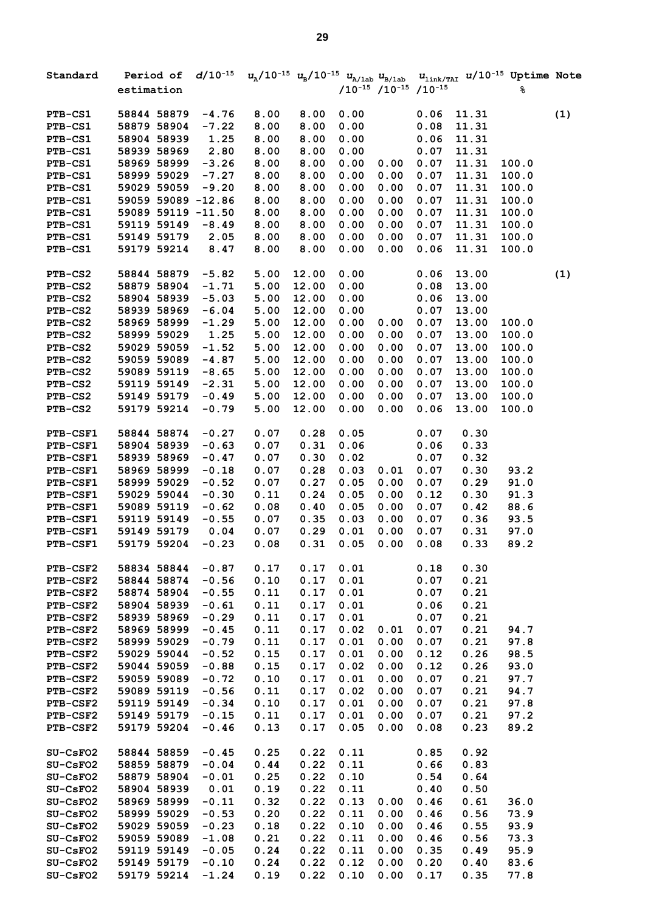| Standard        |             |                    | Period of $d/10^{-15}$ $u_{\text{a}}/10^{-15}$ $u_{\text{b}}/10^{-15}$ $u_{\text{a/lab}}$ $u_{\text{b/lab}}$ |       |      |                                     |      |       | $u_{\text{link/TAI}}$ u/10 <sup>-15</sup> Uptime Note |     |
|-----------------|-------------|--------------------|--------------------------------------------------------------------------------------------------------------|-------|------|-------------------------------------|------|-------|-------------------------------------------------------|-----|
|                 | estimation  |                    |                                                                                                              |       |      | $/10^{-15}$ $/10^{-15}$ $/10^{-15}$ |      |       | ୫                                                     |     |
| PTB-CS1         | 58844 58879 | $-4.76$            | 8.00                                                                                                         | 8.00  | 0.00 |                                     | 0.06 | 11.31 |                                                       | (1) |
| PTB-CS1         | 58879 58904 | $-7.22$            | 8.00                                                                                                         | 8.00  | 0.00 |                                     | 0.08 | 11.31 |                                                       |     |
| PTB-CS1         | 58904 58939 | 1.25               | 8.00                                                                                                         | 8.00  | 0.00 |                                     | 0.06 | 11.31 |                                                       |     |
| PTB-CS1         | 58939 58969 | 2.80               | 8.00                                                                                                         | 8.00  | 0.00 |                                     | 0.07 | 11.31 |                                                       |     |
| PTB-CS1         | 58969 58999 | $-3.26$            | 8.00                                                                                                         | 8.00  | 0.00 | 0.00                                | 0.07 | 11.31 | 100.0                                                 |     |
| PTB-CS1         | 58999 59029 | $-7.27$            | 8.00                                                                                                         | 8.00  | 0.00 | 0.00                                | 0.07 | 11.31 | 100.0                                                 |     |
| PTB-CS1         | 59029 59059 | $-9.20$            | 8.00                                                                                                         | 8.00  | 0.00 | 0.00                                | 0.07 | 11.31 | 100.0                                                 |     |
| PTB-CS1         |             | 59059 59089 -12.86 | 8.00                                                                                                         | 8.00  | 0.00 | 0.00                                | 0.07 | 11.31 | 100.0                                                 |     |
| PTB-CS1         |             | 59089 59119 -11.50 | 8.00                                                                                                         | 8.00  | 0.00 | 0.00                                | 0.07 | 11.31 | 100.0                                                 |     |
| PTB-CS1         | 59119 59149 | $-8.49$            | 8.00                                                                                                         | 8.00  | 0.00 | 0.00                                | 0.07 | 11.31 | 100.0                                                 |     |
| <b>PTB-CS1</b>  | 59149 59179 | 2.05               | 8.00                                                                                                         | 8.00  | 0.00 | 0.00                                | 0.07 | 11.31 | 100.0                                                 |     |
| PTB-CS1         | 59179 59214 | 8.47               | 8.00                                                                                                         | 8.00  | 0.00 | 0.00                                | 0.06 | 11.31 | 100.0                                                 |     |
| PTB-CS2         | 58844 58879 | $-5.82$            | 5.00                                                                                                         | 12.00 | 0.00 |                                     | 0.06 | 13.00 |                                                       | (1) |
| PTB-CS2         | 58879 58904 | $-1.71$            | 5.00                                                                                                         | 12.00 | 0.00 |                                     | 0.08 | 13.00 |                                                       |     |
| PTB-CS2         | 58904 58939 | $-5.03$            | 5.00                                                                                                         | 12.00 | 0.00 |                                     | 0.06 | 13.00 |                                                       |     |
| PTB-CS2         | 58939 58969 | $-6.04$            | 5.00                                                                                                         | 12.00 | 0.00 |                                     | 0.07 | 13.00 |                                                       |     |
| PTB-CS2         | 58969 58999 | $-1.29$            | 5.00                                                                                                         | 12.00 | 0.00 | 0.00                                | 0.07 | 13.00 | 100.0                                                 |     |
| PTB-CS2         | 58999 59029 | 1.25               | 5.00                                                                                                         | 12.00 | 0.00 | 0.00                                | 0.07 | 13.00 | 100.0                                                 |     |
| <b>PTB-CS2</b>  | 59029 59059 | $-1.52$            | 5.00                                                                                                         | 12.00 | 0.00 | 0.00                                | 0.07 | 13.00 | 100.0                                                 |     |
| PTB-CS2         | 59059 59089 | $-4.87$            | 5.00                                                                                                         | 12.00 | 0.00 | 0.00                                | 0.07 | 13.00 | 100.0                                                 |     |
| PTB-CS2         | 59089 59119 | $-8.65$            | 5.00                                                                                                         | 12.00 | 0.00 | 0.00                                | 0.07 | 13.00 | 100.0                                                 |     |
| PTB-CS2         | 59119 59149 | $-2.31$            | 5.00                                                                                                         | 12.00 | 0.00 | 0.00                                | 0.07 | 13.00 | 100.0                                                 |     |
| PTB-CS2         | 59149 59179 | $-0.49$            | 5.00                                                                                                         | 12.00 | 0.00 | 0.00                                | 0.07 | 13.00 | 100.0                                                 |     |
| PTB-CS2         | 59179 59214 | $-0.79$            | 5.00                                                                                                         | 12.00 | 0.00 | 0.00                                | 0.06 | 13.00 | 100.0                                                 |     |
| <b>PTB-CSF1</b> | 58844 58874 | $-0.27$            | 0.07                                                                                                         | 0.28  | 0.05 |                                     | 0.07 | 0.30  |                                                       |     |
| PTB-CSF1        | 58904 58939 | $-0.63$            | 0.07                                                                                                         | 0.31  | 0.06 |                                     | 0.06 | 0.33  |                                                       |     |
| PTB-CSF1        | 58939 58969 | $-0.47$            | 0.07                                                                                                         | 0.30  | 0.02 |                                     | 0.07 | 0.32  |                                                       |     |
| PTB-CSF1        | 58969 58999 | $-0.18$            | 0.07                                                                                                         | 0.28  | 0.03 | 0.01                                | 0.07 | 0.30  | 93.2                                                  |     |
| PTB-CSF1        | 58999 59029 | $-0.52$            | 0.07                                                                                                         | 0.27  | 0.05 | 0.00                                | 0.07 | 0.29  | 91.0                                                  |     |
| PTB-CSF1        | 59029 59044 | $-0.30$            | 0.11                                                                                                         | 0.24  | 0.05 | 0.00                                | 0.12 | 0.30  | 91.3                                                  |     |
| PTB-CSF1        | 59089 59119 | $-0.62$            | 0.08                                                                                                         | 0.40  | 0.05 | 0.00                                | 0.07 | 0.42  | 88.6                                                  |     |
| <b>PTB-CSF1</b> | 59119 59149 | $-0.55$            | 0.07                                                                                                         | 0.35  | 0.03 | 0.00                                | 0.07 | 0.36  | 93.5                                                  |     |
| PTB-CSF1        | 59149 59179 | 0.04               | 0.07                                                                                                         | 0.29  | 0.01 | 0.00                                | 0.07 | 0.31  | 97.0                                                  |     |
| PTB-CSF1        | 59179 59204 | $-0.23$            | 0.08                                                                                                         | 0.31  | 0.05 | 0.00                                | 0.08 | 0.33  | 89.2                                                  |     |
| <b>PTB-CSF2</b> | 58834 58844 | $-0.87$            | 0.17                                                                                                         | 0.17  | 0.01 |                                     | 0.18 | 0.30  |                                                       |     |
| PTB-CSF2        | 58844 58874 | $-0.56$            | 0.10                                                                                                         | 0.17  | 0.01 |                                     | 0.07 | 0.21  |                                                       |     |
| PTB-CSF2        | 58874 58904 | $-0.55$            | 0.11                                                                                                         | 0.17  | 0.01 |                                     | 0.07 | 0.21  |                                                       |     |
| PTB-CSF2        | 58904 58939 | $-0.61$            | 0.11                                                                                                         | 0.17  | 0.01 |                                     | 0.06 | 0.21  |                                                       |     |
| PTB-CSF2        | 58939 58969 | $-0.29$            | 0.11                                                                                                         | 0.17  | 0.01 |                                     | 0.07 | 0.21  |                                                       |     |
| PTB-CSF2        | 58969 58999 | $-0.45$            | 0.11                                                                                                         | 0.17  | 0.02 | 0.01                                | 0.07 | 0.21  | 94.7                                                  |     |
| PTB-CSF2        | 58999 59029 | $-0.79$            | 0.11                                                                                                         | 0.17  | 0.01 | 0.00                                | 0.07 | 0.21  | 97.8                                                  |     |
| PTB-CSF2        | 59029 59044 | $-0.52$            | 0.15                                                                                                         | 0.17  | 0.01 | 0.00                                | 0.12 | 0.26  | 98.5                                                  |     |
| <b>PTB-CSF2</b> | 59044 59059 | $-0.88$            | 0.15                                                                                                         | 0.17  | 0.02 | 0.00                                | 0.12 | 0.26  | 93.0                                                  |     |
| <b>PTB-CSF2</b> | 59059 59089 | $-0.72$            | 0.10                                                                                                         | 0.17  | 0.01 | 0.00                                | 0.07 | 0.21  | 97.7                                                  |     |
| PTB-CSF2        | 59089 59119 | $-0.56$            | 0.11                                                                                                         | 0.17  | 0.02 | 0.00                                | 0.07 | 0.21  | 94.7                                                  |     |
| PTB-CSF2        | 59119 59149 | $-0.34$            | 0.10                                                                                                         | 0.17  | 0.01 | 0.00                                | 0.07 | 0.21  | 97.8                                                  |     |
| PTB-CSF2        | 59149 59179 | $-0.15$            | 0.11                                                                                                         | 0.17  | 0.01 | 0.00                                | 0.07 | 0.21  | 97.2                                                  |     |
| PTB-CSF2        | 59179 59204 | $-0.46$            | 0.13                                                                                                         | 0.17  | 0.05 | 0.00                                | 0.08 | 0.23  | 89.2                                                  |     |
| SU-CsFO2        | 58844 58859 | $-0.45$            | 0.25                                                                                                         | 0.22  | 0.11 |                                     | 0.85 | 0.92  |                                                       |     |
| SU-CsFO2        | 58859 58879 | $-0.04$            | 0.44                                                                                                         | 0.22  | 0.11 |                                     | 0.66 | 0.83  |                                                       |     |
| SU-CsFO2        | 58879 58904 | $-0.01$            | 0.25                                                                                                         | 0.22  | 0.10 |                                     | 0.54 | 0.64  |                                                       |     |
| SU-CsFO2        | 58904 58939 | 0.01               | 0.19                                                                                                         | 0.22  | 0.11 |                                     | 0.40 | 0.50  |                                                       |     |
| SU-CsFO2        | 58969 58999 | $-0.11$            | 0.32                                                                                                         | 0.22  | 0.13 | 0.00                                | 0.46 | 0.61  | 36.0                                                  |     |
| SU-CsFO2        | 58999 59029 | $-0.53$            | 0.20                                                                                                         | 0.22  | 0.11 | 0.00                                | 0.46 | 0.56  | 73.9                                                  |     |
| SU-CsFO2        | 59029 59059 | $-0.23$            | 0.18                                                                                                         | 0.22  | 0.10 | 0.00                                | 0.46 | 0.55  | 93.9                                                  |     |
| SU-CsFO2        | 59059 59089 | $-1.08$            | 0.21                                                                                                         | 0.22  | 0.11 | 0.00                                | 0.46 | 0.56  | 73.3                                                  |     |
| SU-CsFO2        | 59119 59149 | $-0.05$            | 0.24                                                                                                         | 0.22  | 0.11 | 0.00                                | 0.35 | 0.49  | 95.9                                                  |     |
| SU-CsFO2        | 59149 59179 | $-0.10$            | 0.24                                                                                                         | 0.22  | 0.12 | 0.00                                | 0.20 | 0.40  | 83.6                                                  |     |
| SU-CsFO2        | 59179 59214 | $-1.24$            | 0.19                                                                                                         | 0.22  | 0.10 | 0.00                                | 0.17 | 0.35  | 77.8                                                  |     |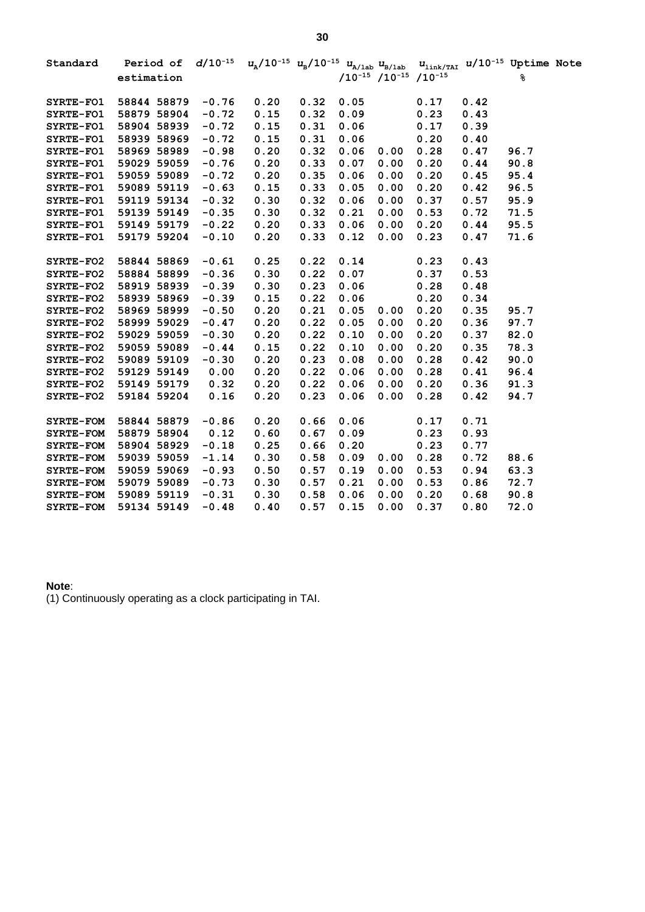| Standard         |             | Period of $d/10^{-15}$ $u_A/10^{-15}$ $u_B/10^{-15}$ $u_{A/\text{lab}}$ $u_{B/\text{lab}}$ |      |      |      |                                                   |      | $u_{\text{link/TAI}}$ $u/10^{-15}$ Uptime Note |      |  |
|------------------|-------------|--------------------------------------------------------------------------------------------|------|------|------|---------------------------------------------------|------|------------------------------------------------|------|--|
|                  | estimation  |                                                                                            |      |      |      | $/10^{-15}$ /10 <sup>-15</sup> /10 <sup>-15</sup> |      |                                                | ℁    |  |
| SYRTE-FO1        | 58844 58879 | $-0.76$                                                                                    | 0.20 | 0.32 | 0.05 |                                                   | 0.17 | 0.42                                           |      |  |
| SYRTE-FO1        | 58879 58904 | $-0.72$                                                                                    | 0.15 | 0.32 | 0.09 |                                                   | 0.23 | 0.43                                           |      |  |
| <b>SYRTE-FO1</b> | 58904 58939 | $-0.72$                                                                                    | 0.15 | 0.31 | 0.06 |                                                   | 0.17 | 0.39                                           |      |  |
| <b>SYRTE-FO1</b> | 58939 58969 | $-0.72$                                                                                    | 0.15 | 0.31 | 0.06 |                                                   | 0.20 | 0.40                                           |      |  |
| <b>SYRTE-FO1</b> | 58969 58989 | $-0.98$                                                                                    | 0.20 | 0.32 | 0.06 | 0.00                                              | 0.28 | 0.47                                           | 96.7 |  |
| <b>SYRTE-FO1</b> | 59029 59059 | $-0.76$                                                                                    | 0.20 | 0.33 | 0.07 | 0.00                                              | 0.20 | 0.44                                           | 90.8 |  |
| <b>SYRTE-FO1</b> | 59059 59089 | $-0.72$                                                                                    | 0.20 | 0.35 | 0.06 | 0.00                                              | 0.20 | 0.45                                           | 95.4 |  |
| SYRTE-FO1        | 59089 59119 | $-0.63$                                                                                    | 0.15 | 0.33 | 0.05 | 0.00                                              | 0.20 | 0.42                                           | 96.5 |  |
| <b>SYRTE-FO1</b> | 59119 59134 | $-0.32$                                                                                    | 0.30 | 0.32 | 0.06 | 0.00                                              | 0.37 | 0.57                                           | 95.9 |  |
| <b>SYRTE-FO1</b> | 59139 59149 | $-0.35$                                                                                    | 0.30 | 0.32 | 0.21 | 0.00                                              | 0.53 | 0.72                                           | 71.5 |  |
| <b>SYRTE-FO1</b> | 59149 59179 | $-0.22$                                                                                    | 0.20 | 0.33 | 0.06 | 0.00                                              | 0.20 | 0.44                                           | 95.5 |  |
| <b>SYRTE-FO1</b> | 59179 59204 | $-0.10$                                                                                    | 0.20 | 0.33 | 0.12 | 0.00                                              | 0.23 | 0.47                                           | 71.6 |  |
| <b>SYRTE-FO2</b> | 58844 58869 | $-0.61$                                                                                    | 0.25 | 0.22 | 0.14 |                                                   | 0.23 | 0.43                                           |      |  |
| <b>SYRTE-FO2</b> | 58884 58899 | $-0.36$                                                                                    | 0.30 | 0.22 | 0.07 |                                                   | 0.37 | 0.53                                           |      |  |
| <b>SYRTE-FO2</b> | 58919 58939 | $-0.39$                                                                                    | 0.30 | 0.23 | 0.06 |                                                   | 0.28 | 0.48                                           |      |  |
| <b>SYRTE-FO2</b> | 58939 58969 | $-0.39$                                                                                    | 0.15 | 0.22 | 0.06 |                                                   | 0.20 | 0.34                                           |      |  |
| <b>SYRTE-FO2</b> | 58969 58999 | $-0.50$                                                                                    | 0.20 | 0.21 | 0.05 | 0.00                                              | 0.20 | 0.35                                           | 95.7 |  |
| <b>SYRTE-FO2</b> | 58999 59029 | $-0.47$                                                                                    | 0.20 | 0.22 | 0.05 | 0.00                                              | 0.20 | 0.36                                           | 97.7 |  |
| <b>SYRTE-FO2</b> | 59029 59059 | $-0.30$                                                                                    | 0.20 | 0.22 | 0.10 | 0.00                                              | 0.20 | 0.37                                           | 82.0 |  |
| <b>SYRTE-FO2</b> | 59059 59089 | $-0.44$                                                                                    | 0.15 | 0.22 | 0.10 | 0.00                                              | 0.20 | 0.35                                           | 78.3 |  |
| <b>SYRTE-FO2</b> | 59089 59109 | $-0.30$                                                                                    | 0.20 | 0.23 | 0.08 | 0.00                                              | 0.28 | 0.42                                           | 90.0 |  |
| <b>SYRTE-FO2</b> | 59129 59149 | 0.00                                                                                       | 0.20 | 0.22 | 0.06 | 0.00                                              | 0.28 | 0.41                                           | 96.4 |  |
| <b>SYRTE-FO2</b> | 59149 59179 | 0.32                                                                                       | 0.20 | 0.22 | 0.06 | 0.00                                              | 0.20 | 0.36                                           | 91.3 |  |
| <b>SYRTE-FO2</b> | 59184 59204 | 0.16                                                                                       | 0.20 | 0.23 | 0.06 | 0.00                                              | 0.28 | 0.42                                           | 94.7 |  |
| <b>SYRTE-FOM</b> | 58844 58879 | $-0.86$                                                                                    | 0.20 | 0.66 | 0.06 |                                                   | 0.17 | 0.71                                           |      |  |
| <b>SYRTE-FOM</b> | 58879 58904 | 0.12                                                                                       | 0.60 | 0.67 | 0.09 |                                                   | 0.23 | 0.93                                           |      |  |
| <b>SYRTE-FOM</b> | 58904 58929 | $-0.18$                                                                                    | 0.25 | 0.66 | 0.20 |                                                   | 0.23 | 0.77                                           |      |  |
| <b>SYRTE-FOM</b> | 59039 59059 | $-1.14$                                                                                    | 0.30 | 0.58 | 0.09 | 0.00                                              | 0.28 | 0.72                                           | 88.6 |  |
| <b>SYRTE-FOM</b> | 59059 59069 | $-0.93$                                                                                    | 0.50 | 0.57 | 0.19 | 0.00                                              | 0.53 | 0.94                                           | 63.3 |  |
| <b>SYRTE-FOM</b> | 59079 59089 | $-0.73$                                                                                    | 0.30 | 0.57 | 0.21 | 0.00                                              | 0.53 | 0.86                                           | 72.7 |  |
| <b>SYRTE-FOM</b> | 59089 59119 | $-0.31$                                                                                    | 0.30 | 0.58 | 0.06 | 0.00                                              | 0.20 | 0.68                                           | 90.8 |  |
| <b>SYRTE-FOM</b> | 59134 59149 | $-0.48$                                                                                    | 0.40 | 0.57 | 0.15 | 0.00                                              | 0.37 | 0.80                                           | 72.0 |  |

## **Note**:

(1) Continuously operating as a clock participating in TAI.